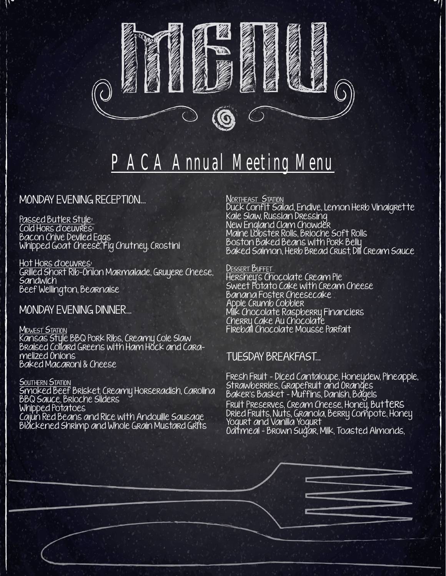

# PACA Annual Meeting Menu

### MONDAY EVENING RECEPTION...

Passed Butler Style: Cold Hors d'oeuvres: Bacon Chive Deviled Eggs Whipped Goat Cheese, Fig Chutney, Crostini

Hot Hors d'oeuvres: Grilled Short Rib-Onion Marmalade, Gruyere Cheese, **Sandwich** Beef Wellington, Bearnaise

MONDAY EVENING DINNER...

MIDWEST STATION Kansas Style BBQ Pork Ribs, Creamy Cole Slaw Braised Collard Greens with Ham Hock and Caramelized Onions Baked Macaroni & Cheese

SOUTHERN STATION Smoked Beef Brisket, Creamy Horseradish, Carolina BBQ Sauce, Brioche Sliders Whipped Potatoes Cajun Red Beans and Rice with Andouille Sausage Blackened Shrimp and Whole Grain Mustard Grits

NORTHEAST STATION

Duck Confit Salad, Endive, Lemon Herb Vinaigrette Kale Slaw, Russian Dressing New England Clam Chowder Maine Lobster Rolls, Brioche Soft Rolls Boston Baked Beans with Pork Belly Baked Salmon, Herb Bread Crust, Dill Cream Sauce

#### Dessert Buffet

Hershey's Chocolate Cream Pie Sweet Potato Cake with Cream Cheese Banana Foster Cheesecake Apple Crumb Cobbler Milk Chocolate Raspberry Financiers Cherry Cake Au Chocolate Fireball Chocolate Mousse Parfait

### TUESDAY BREAKFAST...

Fresh Fruit - Diced Cantaloupe, Honeydew, Pineapple, Strawberries, Grapefruit and Oranges Baker's Basket - Muffins, Danish, Bagels Fruit Preserves, Cream Cheese, Honey, Butters Dried Fruits, Nuts, Granola, Berry Compote, Honey Yogurt and Vanilla Yogurt Oatmeal - Brown Sugar, Milk, Toasted Almonds,